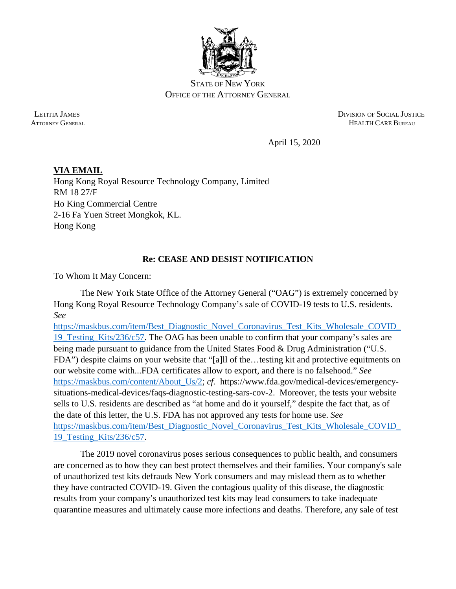

STATE OF NEW YORK OFFICE OF THE ATTORNEY GENERAL

 LETITIA JAMES DIVISION OF SOCIAL JUSTICE ATTORNEY GENERAL **HEALTH CARE BUREAU** 

April 15, 2020

**VIA EMAIL** Hong Kong Royal Resource Technology Company, Limited RM 18 27/F Ho King Commercial Centre 2-16 Fa Yuen Street Mongkok, KL. Hong Kong

## **Re: CEASE AND DESIST NOTIFICATION**

To Whom It May Concern:

The New York State Office of the Attorney General ("OAG") is extremely concerned by Hong Kong Royal Resource Technology Company's sale of COVID-19 tests to U.S. residents. *See* 

[https://maskbus.com/item/Best\\_Diagnostic\\_Novel\\_Coronavirus\\_Test\\_Kits\\_Wholesale\\_COVID\\_](https://maskbus.com/item/Best_Diagnostic_Novel_Coronavirus_Test_Kits_Wholesale_COVID_19_Testing_Kits/236/c57) [19\\_Testing\\_Kits/236/c57.](https://maskbus.com/item/Best_Diagnostic_Novel_Coronavirus_Test_Kits_Wholesale_COVID_19_Testing_Kits/236/c57) The OAG has been unable to confirm that your company's sales are being made pursuant to guidance from the United States Food & Drug Administration ("U.S. FDA") despite claims on your website that "[a]ll of the…testing kit and protective equitments on our website come with...FDA certificates allow to export, and there is no falsehood." *See*  [https://maskbus.com/content/About\\_Us/2;](https://maskbus.com/content/About_Us/2) *cf.* [https://www.fda.gov/medical-devices/emergency](https://www.fda.gov/medical-devices/emergency-situations-medical-devices/emergency-use-authorizations#coronavirus2019)[situations-medical-devices/faqs-diagnostic-testing-sars-cov-2.](https://www.fda.gov/medical-devices/emergency-situations-medical-devices/emergency-use-authorizations#coronavirus2019) Moreover, the tests your website sells to U.S. residents are described as "at home and do it yourself," despite the fact that, as of the date of this letter, the U.S. FDA has not approved any tests for home use. *See*  [https://maskbus.com/item/Best\\_Diagnostic\\_Novel\\_Coronavirus\\_Test\\_Kits\\_Wholesale\\_COVID\\_](https://maskbus.com/item/Best_Diagnostic_Novel_Coronavirus_Test_Kits_Wholesale_COVID_19_Testing_Kits/236/c57) [19\\_Testing\\_Kits/236/c57.](https://maskbus.com/item/Best_Diagnostic_Novel_Coronavirus_Test_Kits_Wholesale_COVID_19_Testing_Kits/236/c57)

The 2019 novel coronavirus poses serious consequences to public health, and consumers are concerned as to how they can best protect themselves and their families. Your company's sale of unauthorized test kits defrauds New York consumers and may mislead them as to whether they have contracted COVID-19. Given the contagious quality of this disease, the diagnostic results from your company's unauthorized test kits may lead consumers to take inadequate quarantine measures and ultimately cause more infections and deaths. Therefore, any sale of test